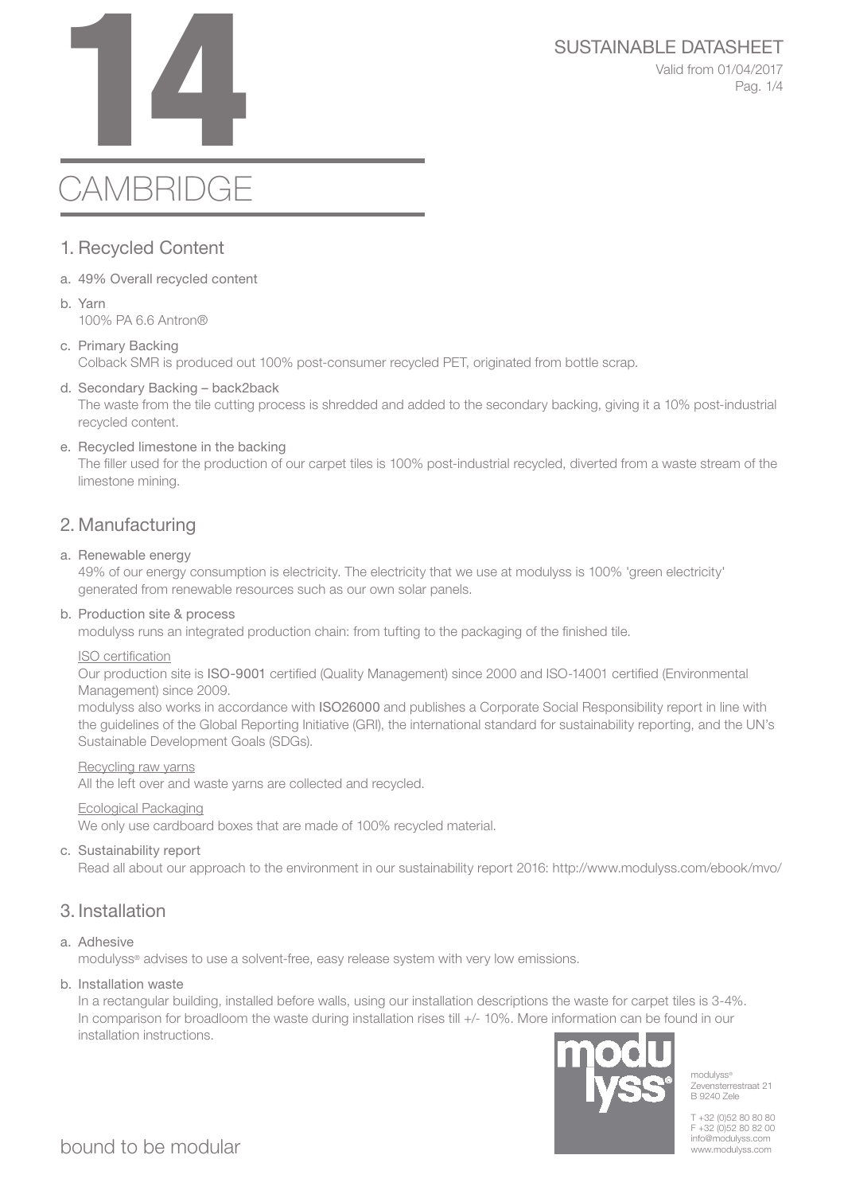# SUSTAINABLE DATASHEET<br>Valid from 01/04/2017<br>Pag. 1/4

Valid from 01/04/2017 Pag. 1/4

# **CAMBRIDGE**

# 1. Recycled Content

- a. 49% Overall recycled content
- b. Yarn 100% PA 6.6 Antron®
- c. Primary Backing Colback SMR is produced out 100% post-consumer recycled PET, originated from bottle scrap.
- d. Secondary Backing back2back

The waste from the tile cutting process is shredded and added to the secondary backing, giving it a 10% post-industrial recycled content.

e. Recycled limestone in the backing

The filler used for the production of our carpet tiles is 100% post-industrial recycled, diverted from a waste stream of the limestone mining.

# 2. Manufacturing

#### a. Renewable energy

49% of our energy consumption is electricity. The electricity that we use at modulyss is 100% 'green electricity' generated from renewable resources such as our own solar panels.

#### b. Production site & process

modulyss runs an integrated production chain: from tufting to the packaging of the finished tile.

#### ISO certification

Our production site is ISO-9001 certified (Quality Management) since 2000 and ISO-14001 certified (Environmental Management) since 2009.

modulyss also works in accordance with ISO26000 and publishes a Corporate Social Responsibility report in line with the guidelines of the Global Reporting Initiative (GRI), the international standard for sustainability reporting, and the UN's Sustainable Development Goals (SDGs).

#### Recycling raw yarns

All the left over and waste yarns are collected and recycled.

#### Ecological Packaging

We only use cardboard boxes that are made of 100% recycled material.

#### c. Sustainability report

Read all about our approach to the environment in our sustainability report 2016: http://www.modulyss.com/ebook/mvo/

# 3. Installation

#### a. Adhesive

modulyss® advises to use a solvent-free, easy release system with very low emissions.

#### b. Installation waste

In a rectangular building, installed before walls, using our installation descriptions the waste for carpet tiles is 3-4%. In comparison for broadloom the waste during installation rises till +/- 10%. More information can be found in our installation instructions.



modulyss® Zevensterrestraat 21 B 9240 Zele

T +32 (0)52 80 80 80 F +32 (0)52 80 82 00 info@modulyss.com www.modulyss.com

bound to be modular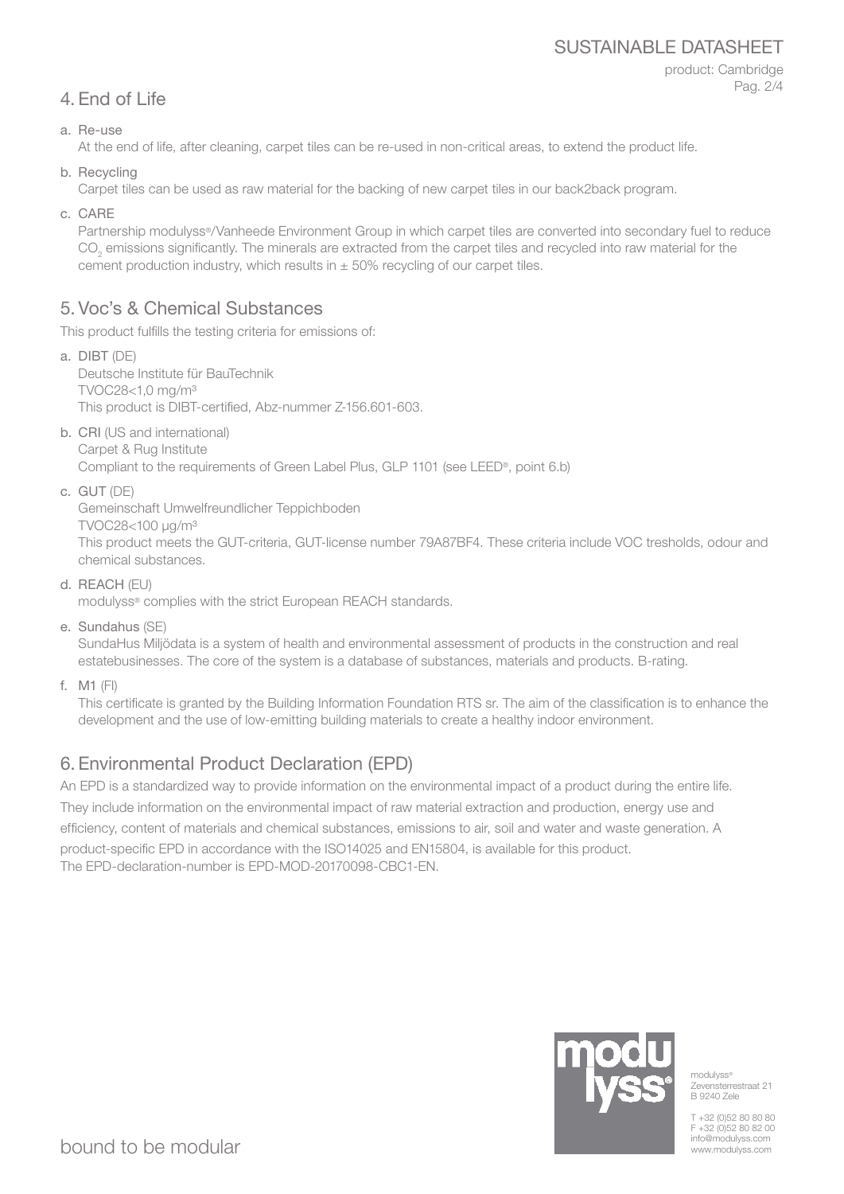### SUSTAINABLE DATASHEET

product: Cambridge Pag. 2/4

# 4. End of Life

a. Re-use

At the end of life, after cleaning, carpet tiles can be re-used in non-critical areas, to extend the product life.

b. Recycling

Carpet tiles can be used as raw material for the backing of new carpet tiles in our back2back program.

c. CARE

Partnership modulyss®/Vanheede Environment Group in which carpet tiles are converted into secondary fuel to reduce  $\mathrm{CO}_2$  emissions significantly. The minerals are extracted from the carpet tiles and recycled into raw material for the cement production industry, which results in  $\pm$  50% recycling of our carpet tiles.

# 5. Voc's & Chemical Substances

This product fulfills the testing criteria for emissions of:

- a. DIBT (DE) Deutsche Institute für BauTechnik TVOC28<1,0 mg/m³ This product is DIBT-certified, Abz-nummer Z-156.601-603.
- b. CRI (US and international) Carpet & Rug Institute Compliant to the requirements of Green Label Plus, GLP 1101 (see LEED®, point 6.b)
- c. GUT (DE)

Gemeinschaft Umwelfreundlicher Teppichboden

TVOC28<100 μg/m³

This product meets the GUT-criteria, GUT-license number 79A87BF4. These criteria include VOC tresholds, odour and chemical substances.

d. REACH (EU)

modulyss® complies with the strict European REACH standards.

e. Sundahus (SE)

SundaHus Miljödata is a system of health and environmental assessment of products in the construction and real estatebusinesses. The core of the system is a database of substances, materials and products. B-rating.

f. M1 (FI)

This certificate is granted by the Building Information Foundation RTS sr. The aim of the classification is to enhance the development and the use of low-emitting building materials to create a healthy indoor environment.

# 6. Environmental Product Declaration (EPD)

An EPD is a standardized way to provide information on the environmental impact of a product during the entire life. They include information on the environmental impact of raw material extraction and production, energy use and efficiency, content of materials and chemical substances, emissions to air, soil and water and waste generation. A product-specific EPD in accordance with the ISO14025 and EN15804, is available for this product. The EPD-declaration-number is EPD-MOD-20170098-CBC1-EN.



modulyss<sup>®</sup> Zevensterrestraat 21 B 9240 Zele

T +32 (0)52 80 80 80 F +32 (0)52 80 82 00 info@modulyss.com www.modulyss.com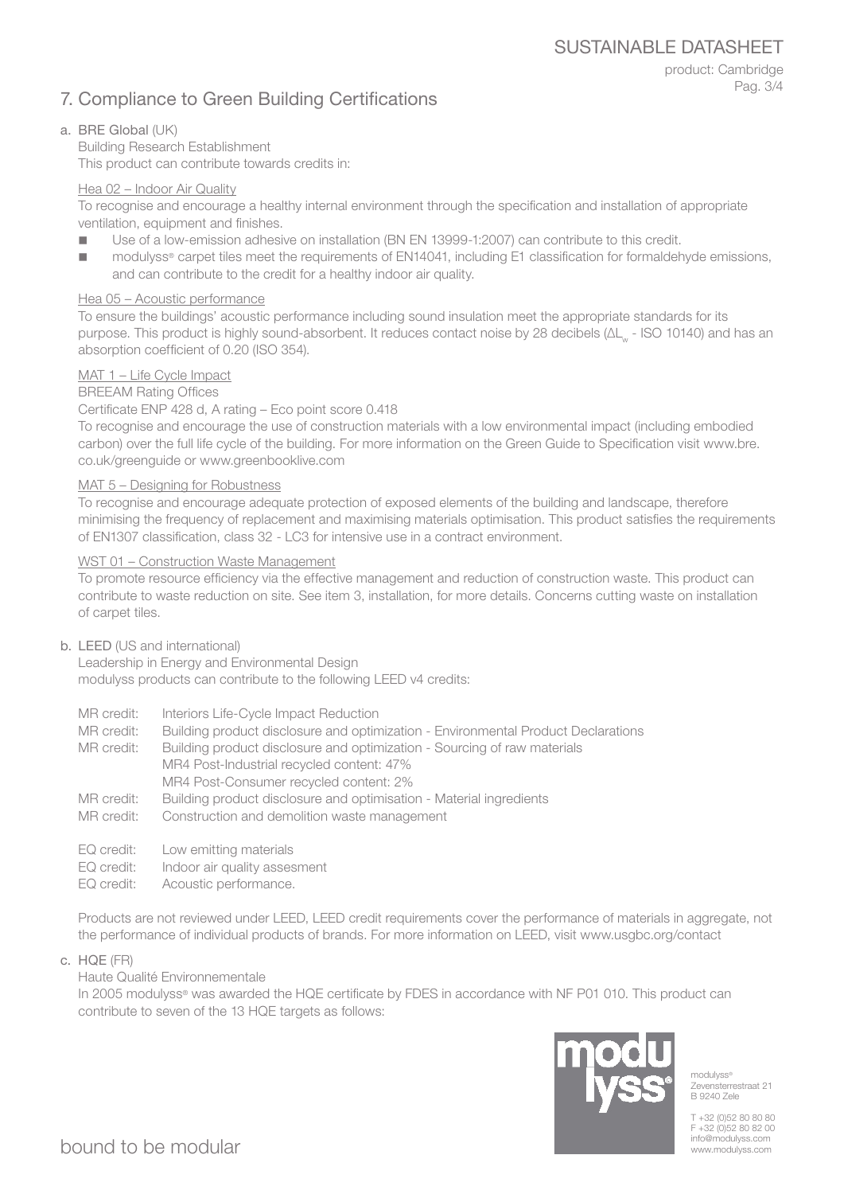SUSTAINABLE DATASHEET

# 7. Compliance to Green Building Certifications

product: Cambridge Pag. 3/4

#### a. BRE Global (UK)

Building Research Establishment This product can contribute towards credits in:

#### Hea 02 – Indoor Air Quality

To recognise and encourage a healthy internal environment through the specification and installation of appropriate ventilation, equipment and finishes.

- Use of a low-emission adhesive on installation (BN EN 13999-1:2007) can contribute to this credit.
- modulyss<sup>®</sup> carpet tiles meet the requirements of EN14041, including E1 classification for formaldehyde emissions, and can contribute to the credit for a healthy indoor air quality.

#### Hea 05 – Acoustic performance

To ensure the buildings' acoustic performance including sound insulation meet the appropriate standards for its purpose. This product is highly sound-absorbent. It reduces contact noise by 28 decibels (ΔL<sub>w</sub> - ISO 10140) and has an absorption coefficient of 0.20 (ISO 354).

#### MAT 1 – Life Cycle Impact

BREEAM Rating Offices

#### Certificate ENP 428 d, A rating – Eco point score 0.418

To recognise and encourage the use of construction materials with a low environmental impact (including embodied carbon) over the full life cycle of the building. For more information on the Green Guide to Specification visit www.bre. co.uk/greenguide or www.greenbooklive.com

#### MAT 5 – Designing for Robustness

To recognise and encourage adequate protection of exposed elements of the building and landscape, therefore minimising the frequency of replacement and maximising materials optimisation. This product satisfies the requirements of EN1307 classification, class 32 - LC3 for intensive use in a contract environment.

#### WST 01 – Construction Waste Management

To promote resource efficiency via the effective management and reduction of construction waste. This product can contribute to waste reduction on site. See item 3, installation, for more details. Concerns cutting waste on installation of carpet tiles.

#### b. LEED (US and international)

Leadership in Energy and Environmental Design modulyss products can contribute to the following LEED v4 credits:

- MR credit: Interiors Life-Cycle Impact Reduction
- MR credit: Building product disclosure and optimization Environmental Product Declarations

MR credit: Building product disclosure and optimization - Sourcing of raw materials MR4 Post-Industrial recycled content: 47% MR4 Post-Consumer recycled content: 2%

- MR credit: Building product disclosure and optimisation Material ingredients
- MR credit: Construction and demolition waste management
- EQ credit: Low emitting materials
- EQ credit: Indoor air quality assesment
- EQ credit: Acoustic performance.

Products are not reviewed under LEED, LEED credit requirements cover the performance of materials in aggregate, not the performance of individual products of brands. For more information on LEED, visit www.usgbc.org/contact

c. HQE (FR)

Haute Qualité Environnementale

In 2005 modulyss® was awarded the HQE certificate by FDES in accordance with NF P01 010. This product can contribute to seven of the 13 HQE targets as follows:



modulyss® Zevensterrestraat 21 B 9240 Zele

T +32 (0)52 80 80 80 F +32 (0)52 80 82 00 info@modulyss.com www.modulyss.com